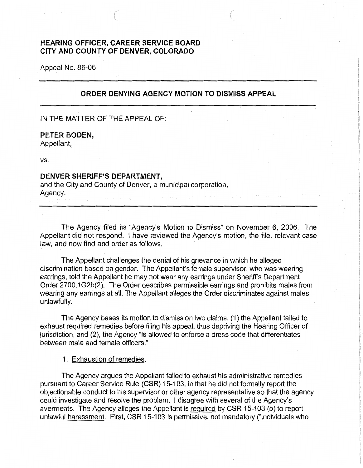# **HEARING OFFICER, CAREER SERVICE BOARD CITY AND COUNTY OF DENVER, COLORADO**

Appeal No. 86-06

## **ORDER DENYING AGENCY MOTION TO DISMISS APPEAL**

IN THE MATTER OF THE APPEAL OF:

**PETER BODEN,**  Appellant,

vs.

### **DENVER SHERIFF'S DEPARTMENT,**

and the City and County of Denver, a municipal corporation, Agency.

The Agency filed its "Agency's Motion to Dismiss" on November 6, 2006. The Appellant did not respond. I have reviewed the Agency's motion, the file, relevant case law, and now find and order as follows.

The Appellant challenges the denial of his grievance in which he alleged discrimination based on gender. The Appellant's female supervisor, who was wearing earrings, told the Appellant he may not wear any earrings under Sheriff's Department Order 2700.1 G2b(2). The Order describes permissible earrings and prohibits males from wearing any earrings at all. The Appellant alleges the Order discriminates against males unlawfully.

The Agency bases its motion to dismiss on two claims. (1) the Appellant failed to exhaust required remedies before filing his appeal, thus depriving the Hearing Officer of jurisdiction, and (2), the Agency "is allowed to enforce a dress code that differentiates between male and female officers."

### 1. Exhaustion of remedies.

The Agency argues the Appellant failed to exhaust his administrative remedies pursuant to Career Service Rule (CSR) 15-103, in that he did not formally report the objectionable conduct to his supervisor or other agency representative so that the agency could investigate and resolve the problem. I disagree with several of the Agency's averments. The Agency alleges the Appellant is required by CSR 15-103 (b) to report unlawful harassment. First, CSR 15-103 is permissive, not mandatory ("individuals who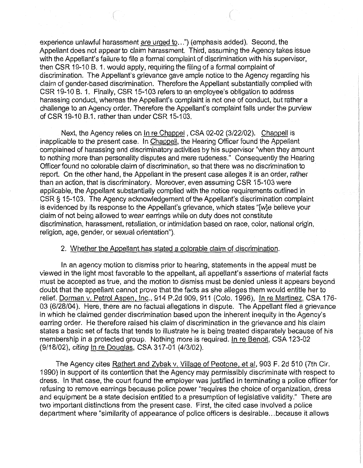experience unlawful harassment are urged to...") (emphasis added). Second, the Appellant does not appear to claim harassment. Third, assuming the Agency takes issue with the Appellant's failure to file a formal complaint of discrimination with his supervisor, then CSR 19-10 8. 1. would apply, requiring the filing of a formal complaint of discrimination. The Appellant's grievance gave ample notice to the Agency regarding his claim of gender-based discrimination. Therefore the Appellant substantially complied with CSR 19-10 B. 1. Finally, CSR 15-103 refers to an employee's obligation to address harassing conduct, whereas the Appellant's complaint is not one of conduct, but rather a challenge to an Agency order. Therefore the Appellant's complaint falls under the purview of CSR 19-10 B.1. rather than under CSR 15-103.

Next, the Agency relies on In re Chappel, CSA 02-02 (3/22/02). Chappell is inapplicable to the present case. In Chappell, the Hearing Officer found the Appellant complained of harassing and discriminatory activities by his supervisor "when they amount to nothing more than personality disputes and mere rudeness." Consequently the Hearing Officer found no colorable claim of discrimination, so that there was no discrimination to report. On the other hand, the Appellant in the present case alleges it is an order, rather than an action, that is discriminatory. Moreover, even assuming CSR 15-103 were applicable, the Appellant substantially complied with the notice requirements outlined in CSR § 15-103. The Agency acknowledgement of the Appellant's discrimination complaint is evidenced by its response to the Appellant's grievance, which states "[w]e believe your claim of not being allowed to wear earrings while on duty does not constitute discrimination, harassment, retaliation, or intimidation based on race, color, national origin, religion, age, gender, or sexual orientation").

#### 2. Whether the Appellant has stated a colorable claim of discrimination.

In an agency motion to dismiss prior to hearing, statements in the appeal must be viewed in the light most favorable to the appellant, all appellant's assertions of material facts must be accepted as true, and the motion to dismiss must be denied unless it appears beyond doubt that the appellant cannot prove that the facts as she alleges them would entitle her to relief. Dorman v. Petrol Aspen, Inc., 914 P.2d 909, 911 (Colo. 1996), In re Martinez, CSA 176-03 (6/28/04). Here, there are no factual allegations in dispute. The Appellant filed a grievance in which he claimed gender discrimination based upon the inherent inequity in the Agency's earring order. He therefore raised his claim of discrimination in the grievance and his claim states a basic set of facts that tends to illustrate he is being treated disparately because of his membership in a protected group. Nothing more is required. In re Benoit, CSA 123-02 (9/18/02), citing In re Douglas, CSA 317-01 (4/3/02).

The Agency cites Rathert and Zybak v. Village of Peotone, et al, 903 F. 2d 510 (7th Cir. 1990) in support of its contention that the Agency may permissibly discriminate with respect to dress. In that case, the court found the employer was justified in terminating a police officer for refusing to remove earrings because police power "requires the choice of organization, dress and equipment be a state decision entitled to a presumption of legislative validity." There are two important distinctions from the present case. First, the cited case involved a police department where "similarity of appearance of police officers is desirable ... because it allows